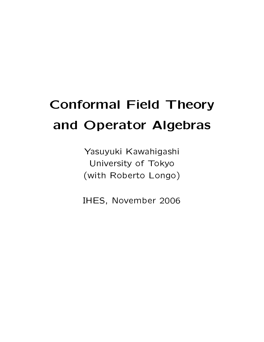# **Conformal Field Theory** and Operator Algebras

Yasuyuki Kawahigashi University of Tokyo (with Roberto Longo)

IHES, November 2006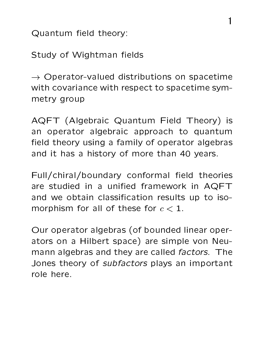Quantum field theory:

Study of Wightman fields

 $\rightarrow$  Operator-valued distributions on spacetime with covariance with respect to spacetime symmetry group

AQFT (Algebraic Quantum Field Theory) is an operator algebraic approach to quantum field theory using a family of operator algebras and it has a history of more than 40 years.

Full/chiral/boundary conformal field theories are studied in a unified framework in AQFT and we obtain classification results up to isomorphism for all of these for  $c < 1$ .

Our operator algebras (of bounded linear operators on a Hilbert space) are simple von Neumann algebras and they are called factors. The Jones theory of *subfactors* plays an important role here.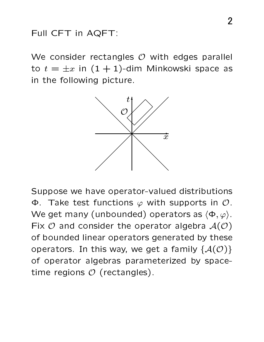#### Full CFT in AQFT:

We consider rectangles  $O$  with edges parallel to  $t = \pm x$  in  $(1 + 1)$ -dim Minkowski space as in the following picture.



Suppose we have operator-valued distributions  $\Phi$ . Take test functions  $\varphi$  with supports in  $\mathcal{O}$ . We get many (unbounded) operators as  $\langle \Phi, \varphi \rangle$ . Fix  $O$  and consider the operator algebra  $A(O)$ of bounded linear operators generated by these operators. In this way, we get a family  $\{A(\mathcal{O})\}$ of operator algebras parameterized by spacetime regions  $O$  (rectangles).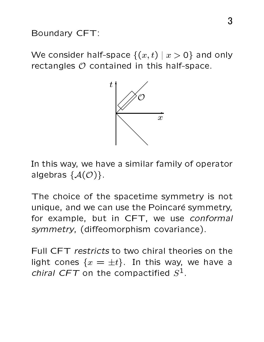Boundary CFT:

We consider half-space  $\{(x,t) | x > 0\}$  and only rectangles  $O$  contained in this half-space.



In this way, we have a similar family of operator algebras  $\{A(\mathcal{O})\}.$ 

The choice of the spacetime symmetry is not unique, and we can use the Poincaré symmetry, for example, but in CFT, we use conformal symmetry, (diffeomorphism covariance).

Full CFT restricts to two chiral theories on the light cones  $\{x = \pm t\}$ . In this way, we have a *chiral CFT* on the compactified  $S^1$ .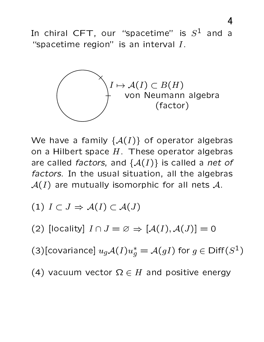In chiral CFT, our "spacetime" is  $S^1$  and  $\overline{a}$ "spacetime region" is an interval  $I$ .



We have a family  $\{A(I)\}\$  of operator algebras on a Hilbert space  $H$ . These operator algebras are called factors, and  $\{A(I)\}\$ is called a net of factors. In the usual situation, all the algebras  $\mathcal{A}(I)$  are mutually isomorphic for all nets  $\mathcal{A}$ .

(1) 
$$
I \subset J \Rightarrow A(I) \subset A(J)
$$

(2) [locality]  $I \cap J = \emptyset \Rightarrow [\mathcal{A}(I), \mathcal{A}(J)] = 0$ 

(3)[covariance]  $u_g \mathcal{A}(I) u_g^* = \mathcal{A}(gI)$  for  $g \in \text{Diff}(S^1)$ 

(4) vacuum vector  $\Omega \in H$  and positive energy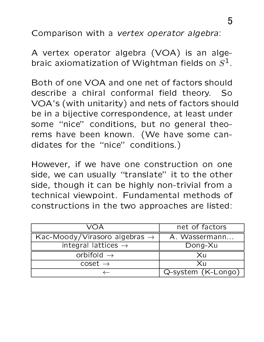Comparison with a vertex operator algebra:

A vertex operator algebra (VOA) is an algebraic axiomatization of Wightman fields on  $S^1$ .

Both of one VOA and one net of factors should describe a chiral conformal field theory. So VOA's (with unitarity) and nets of factors should be in a bijective correspondence, at least under some "nice" conditions, but no general theorems have been known. (We have some candidates for the "nice" conditions.)

However, if we have one construction on one side, we can usually "translate" it to the other side, though it can be highly non-trivial from a technical viewpoint. Fundamental methods of constructions in the two approaches are listed:

| VOA                                       | net of factors     |
|-------------------------------------------|--------------------|
| Kac-Moody/Virasoro algebras $\rightarrow$ | A. Wassermann      |
| integral lattices $\rightarrow$           | Dong-Xu            |
| orbifold $\rightarrow$                    | Xu                 |
| $\csc \rightarrow$                        | Xu                 |
|                                           | Q-system (K-Longo) |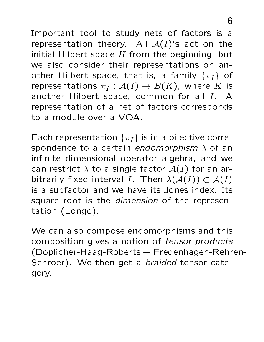Important tool to study nets of factors is a representation theory. All  $A(I)$ 's act on the initial Hilbert space  $H$  from the beginning, but we also consider their representations on another Hilbert space, that is, a family  $\{\pi_I\}$  of representations  $\pi_I : \mathcal{A}(I) \to B(K)$ , where K is another Hilbert space, common for all I. A representation of a net of factors corresponds to a module over a VOA.

Each representation  $\{\pi_I\}$  is in a bijective correspondence to a certain endomorphism  $\lambda$  of an infinite dimensional operator algebra, and we can restrict  $\lambda$  to a single factor  $\mathcal{A}(I)$  for an arbitrarily fixed interval I. Then  $\lambda(\mathcal{A}(I)) \subset \mathcal{A}(I)$ is a subfactor and we have its Jones index. Its square root is the dimension of the representation (Longo).

We can also compose endomorphisms and this composition gives a notion of tensor products (Doplicher-Haag-Roberts + Fredenhagen-Rehren-Schroer). We then get a braided tensor category.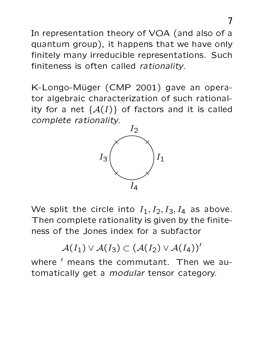In representation theory of VOA (and also of a quantum group), it happens that we have only finitely many irreducible representations. Such finiteness is often called rationality.

K-Longo-Müger (CMP 2001) gave an operator algebraic characterization of such rationality for a net  $\{A(I)\}\;$  of factors and it is called complete rationality.



We split the circle into  $I_1, I_2, I_3, I_4$  as above. Then complete rationality is given by the finiteness of the Jones index for a subfactor

 $\mathcal{A}(I_1) \vee \mathcal{A}(I_3) \subset (\mathcal{A}(I_2) \vee \mathcal{A}(I_4))'$ 

where ' means the commutant. Then we automatically get a *modular* tensor category.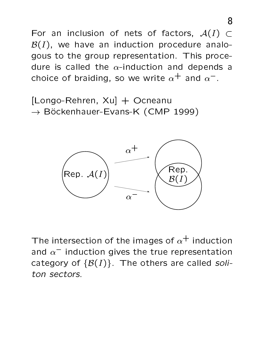For an inclusion of nets of factors,  $A(I) \subset$  $\mathcal{B}(I)$ , we have an induction procedure analogous to the group representation. This procedure is called the  $\alpha$ -induction and depends a choice of braiding, so we write  $\alpha^+$  and  $\alpha^-$ .

[Longo-Rehren, Xu] + Ocneanu  $\rightarrow$  Böckenhauer-Evans-K (CMP 1999)



The intersection of the images of  $\alpha^{+}$  induction and  $\alpha^-$  induction gives the true representation category of  $\{\mathcal{B}(I)\}\$ . The others are called soliton sectors.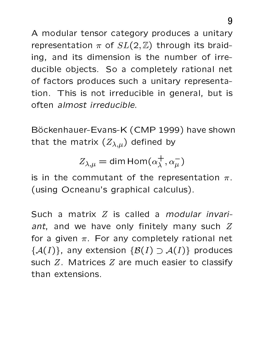A modular tensor category produces a unitary representation  $\pi$  of  $SL(2,\mathbb{Z})$  through its braiding, and its dimension is the number of irreducible objects. So a completely rational net of factors produces such a unitary representation. This is not irreducible in general, but is often almost irreducible.

Böckenhauer-Evans-K (CMP 1999) have shown that the matrix  $(Z_{\lambda,\mu})$  defined by

$$
Z_{\lambda,\mu} = \dim \text{Hom}(\alpha_\lambda^+, \alpha_\mu^-)
$$

is in the commutant of the representation  $\pi$ . (using Ocneanu's graphical calculus).

Such a matrix Z is called a *modular invari*ant, and we have only finitely many such Z for a given  $\pi$ . For any completely rational net  $\{\mathcal{A}(I)\}\$ , any extension  $\{\mathcal{B}(I) \supset \mathcal{A}(I)\}\$  produces such  $Z$ . Matrices  $Z$  are much easier to classify than extensions.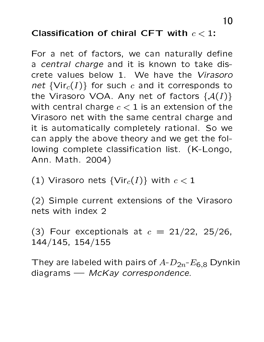### Classification of chiral CFT with  $c < 1$ :

For a net of factors, we can naturally define a central charge and it is known to take discrete values below 1. We have the Virasoro net  $\{Vir_c(I)\}$  for such c and it corresponds to the Virasoro VOA. Any net of factors  $\{A(I)\}\$ with central charge  $c < 1$  is an extension of the Virasoro net with the same central charge and it is automatically completely rational. So we can apply the above theory and we get the following complete classification list. (K-Longo, Ann. Math. 2004)

(1) Virasoro nets  $\{Vir_c(I)\}$  with  $c < 1$ 

(2) Simple current extensions of the Virasoro nets with index 2

(3) Four exceptionals at  $c = 21/22$ , 25/26,  $144/145, 154/155$ 

They are labeled with pairs of  $A-D_{2n}E_{6,8}$  Dynkin diagrams  $-$  McKay correspondence.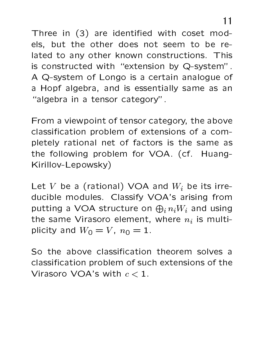Three in (3) are identified with coset models, but the other does not seem to be related to any other known constructions. This is constructed with "extension by Q-system". A Q-system of Longo is a certain analogue of a Hopf algebra, and is essentially same as an "algebra in a tensor category".

From a viewpoint of tensor category, the above classification problem of extensions of a completely rational net of factors is the same as the following problem for VOA. (cf. Huang-Kirillov-Lepowsky)

Let V be a (rational) VOA and  $W_i$  be its irreducible modules. Classify VOA's arising from putting a VOA structure on  $\bigoplus_i n_i W_i$  and using the same Virasoro element, where  $n_i$  is multiplicity and  $W_0 = V$ ,  $n_0 = 1$ .

So the above classification theorem solves a classification problem of such extensions of the Virasoro VOA's with  $c < 1$ .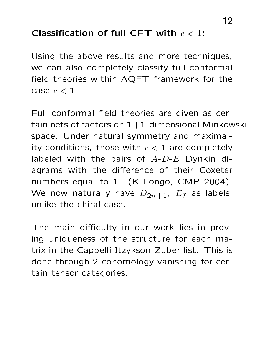#### Classification of full CFT with  $c < 1$ :

Using the above results and more techniques, we can also completely classify full conformal field theories within AQFT framework for the case  $c < 1$ .

Full conformal field theories are given as certain nets of factors on  $1+1$ -dimensional Minkowski space. Under natural symmetry and maximality conditions, those with  $c < 1$  are completely labeled with the pairs of  $A-D-E$  Dynkin diagrams with the difference of their Coxeter numbers equal to 1. (K-Longo, CMP 2004). We now naturally have  $D_{2n+1}$ ,  $E_7$  as labels, unlike the chiral case.

The main difficulty in our work lies in proving uniqueness of the structure for each matrix in the Cappelli-Itzykson-Zuber list. This is done through 2-cohomology vanishing for certain tensor categories.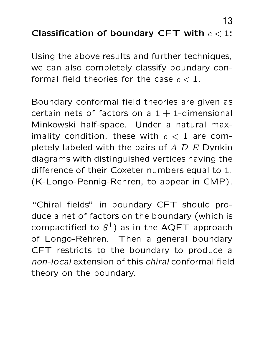## Classification of boundary CFT with  $c < 1$ :

Using the above results and further techniques, we can also completely classify boundary conformal field theories for the case  $c < 1$ .

Boundary conformal field theories are given as certain nets of factors on a  $1 + 1$ -dimensional Minkowski half-space. Under a natural maximality condition, these with  $c < 1$  are completely labeled with the pairs of  $A-D-E$  Dynkin diagrams with distinguished vertices having the difference of their Coxeter numbers equal to 1. (K-Longo-Pennig-Rehren, to appear in CMP).

"Chiral fields" in boundary CFT should produce a net of factors on the boundary (which is compactified to  $S^1$ ) as in the AQFT approach of Longo-Rehren. Then a general boundary CFT restricts to the boundary to produce a non-local extension of this chiral conformal field theory on the boundary.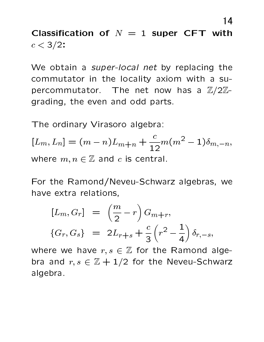Classification of  $N = 1$  super CFT with  $c < 3/2$ :

We obtain a super-local net by replacing the commutator in the locality axiom with a supercommutator. The net now has a  $\mathbb{Z}/2\mathbb{Z}$ grading, the even and odd parts.

The ordinary Virasoro algebra:

 $[L_m, L_n] = (m - n)L_{m+n} + \frac{c}{12}m(m^2 - 1)\delta_{m,-n},$ where  $m, n \in \mathbb{Z}$  and c is central.

For the Ramond/Neveu-Schwarz algebras, we have extra relations,

$$
[L_m, G_r] = \left(\frac{m}{2} - r\right) G_{m+r},
$$
  

$$
\{G_r, G_s\} = 2L_{r+s} + \frac{c}{3} \left(r^2 - \frac{1}{4}\right) \delta_{r,-s},
$$

where we have  $r, s \in \mathbb{Z}$  for the Ramond algebra and  $r, s \in \mathbb{Z} + 1/2$  for the Neveu-Schwarz algebra.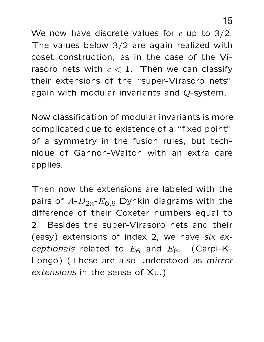We now have discrete values for  $c$  up to 3/2. The values below  $3/2$  are again realized with coset construction, as in the case of the Virasoro nets with  $c < 1$ . Then we can classify their extensions of the "super-Virasoro nets" again with modular invariants and Q-system.

Now classification of modular invariants is more complicated due to existence of a "fixed point" of a symmetry in the fusion rules, but technique of Gannon-Walton with an extra care applies.

Then now the extensions are labeled with the pairs of  $A-D_{2n}-E_{6,8}$  Dynkin diagrams with the difference of their Coxeter numbers equal to 2. Besides the super-Virasoro nets and their (easy) extensions of index 2, we have six exceptionals related to  $E_6$  and  $E_8$ . (Carpi-K-Longo) (These are also understood as *mirror* extensions in the sense of Xu.)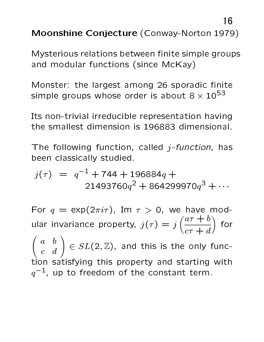16

Moonshine Conjecture (Conway-Norton 1979)

Mysterious relations between finite simple groups and modular functions (since McKay)

Monster: the largest among 26 sporadic finite simple groups whose order is about  $8 \times 10^{53}$ 

Its non-trivial irreducible representation having the smallest dimension is 196883 dimensional.

The following function, called  $j$ -function, has been classically studied.

$$
j(\tau) = q^{-1} + 744 + 196884q + 21493760q^{2} + 864299970q^{3} + \cdots
$$

For  $q = \exp(2\pi i \tau)$ , Im  $\tau > 0$ , we have mod-<br>ular invariance property,  $j(\tau) = j\left(\frac{a\tau + b}{c\tau + d}\right)$  for<br> $\begin{pmatrix} a & b \\ c & d \end{pmatrix} \in SL(2, \mathbb{Z})$ , and this is the only function satisfying this property and starting with  $q^{-1}$ , up to freedom of the constant term.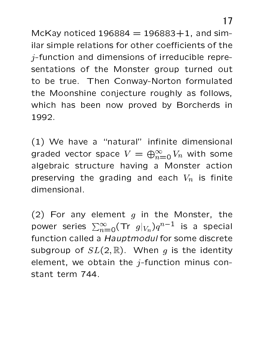McKay noticed  $196884 = 196883 + 1$ , and similar simple relations for other coefficients of the  $j$ -function and dimensions of irreducible representations of the Monster group turned out to be true. Then Conway-Norton formulated the Moonshine conjecture roughly as follows, which has been now proved by Borcherds in 1992.

(1) We have a "natural" infinite dimensional graded vector space  $V = \bigoplus_{n=0}^{\infty} V_n$  with some algebraic structure having a Monster action preserving the grading and each  $V_n$  is finite dimensional.

(2) For any element  $g$  in the Monster, the power series  $\sum_{n=0}^{\infty}$  (Tr  $g|_{V_n}$ ) $q^{n-1}$  is a special function called a Hauptmodul for some discrete subgroup of  $SL(2,\mathbb{R})$ . When q is the identity element, we obtain the  $j$ -function minus constant term 744.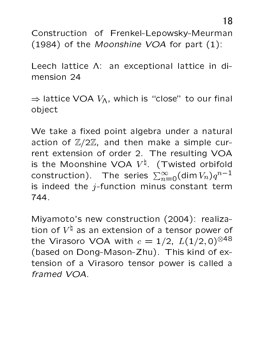Construction of Frenkel-Lepowsky-Meurman (1984) of the Moonshine VOA for part (1):

Leech lattice A: an exceptional lattice in dimension 24

 $\Rightarrow$  lattice VOA  $V_A$ , which is "close" to our final object

We take a fixed point algebra under a natural action of  $\mathbb{Z}/2\mathbb{Z}$ , and then make a simple current extension of order 2. The resulting VOA is the Moonshine VOA  $V^{\natural}$ . (Twisted orbifold construction). The series  $\sum_{n=0}^{\infty}$  (dim  $V_n)q^{n-1}$ is indeed the  $j$ -function minus constant term 744.

Miyamoto's new construction (2004): realization of  $V^{\natural}$  as an extension of a tensor power of the Virasoro VOA with  $c = 1/2$ ,  $L(1/2,0)^{\otimes 48}$ (based on Dong-Mason-Zhu). This kind of extension of a Virasoro tensor power is called a framed VOA.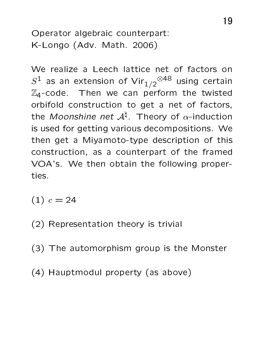Operator algebraic counterpart: K-Longo (Adv. Math. 2006)

We realize a Leech lattice net of factors on  $S^1$  as an extension of Vir $_{1/2}$ <sup> $\otimes$ 48</sup> using certain  $\mathbb{Z}_4$ -code. Then we can perform the twisted orbifold construction to get a net of factors, the Moonshine net  $A^{\natural}$ . Theory of  $\alpha$ -induction is used for getting various decompositions. We then get a Miyamoto-type description of this construction, as a counterpart of the framed VOA's. We then obtain the following properties.

 $(1)$   $c = 24$ 

- (2) Representation theory is trivial
- (3) The automorphism group is the Monster
- (4) Hauptmodul property (as above)